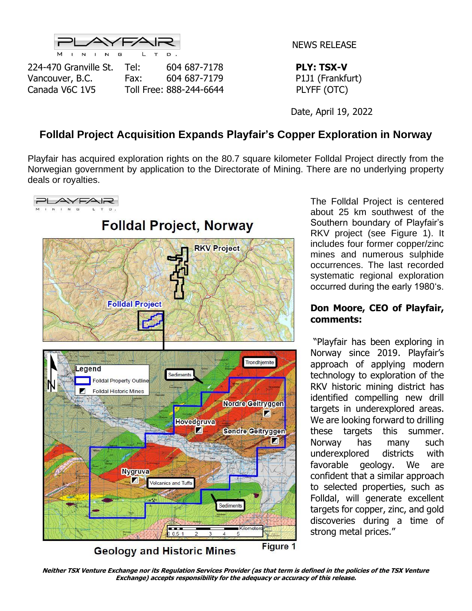

NEWS RELEASE

224-470 Granville St. Tel: 604 687-7178 **PLY: TSX-V** Vancouver, B.C. Fax: 604 687-7179 P1J1 (Frankfurt) Canada V6C 1V5 Toll Free: 888-244-6644 PLYFF (OTC)

Date, April 19, 2022

# **Folldal Project Acquisition Expands Playfair's Copper Exploration in Norway**

Playfair has acquired exploration rights on the 80.7 square kilometer Folldal Project directly from the Norwegian government by application to the Directorate of Mining. There are no underlying property deals or royalties.



The Folldal Project is centered about 25 km southwest of the Southern boundary of Playfair's RKV project (see Figure 1). It includes four former copper/zinc mines and numerous sulphide occurrences. The last recorded systematic regional exploration occurred during the early 1980's.

#### **Don Moore, CEO of Playfair, comments:**

"Playfair has been exploring in Norway since 2019. Playfair's approach of applying modern technology to exploration of the RKV historic mining district has identified compelling new drill targets in underexplored areas. We are looking forward to drilling these targets this summer. Norway has many such underexplored districts with favorable geology. We are confident that a similar approach to selected properties, such as Folldal, will generate excellent targets for copper, zinc, and gold discoveries during a time of strong metal prices."

**Neither TSX Venture Exchange nor its Regulation Services Provider (as that term is defined in the policies of the TSX Venture Exchange) accepts responsibility for the adequacy or accuracy of this release.**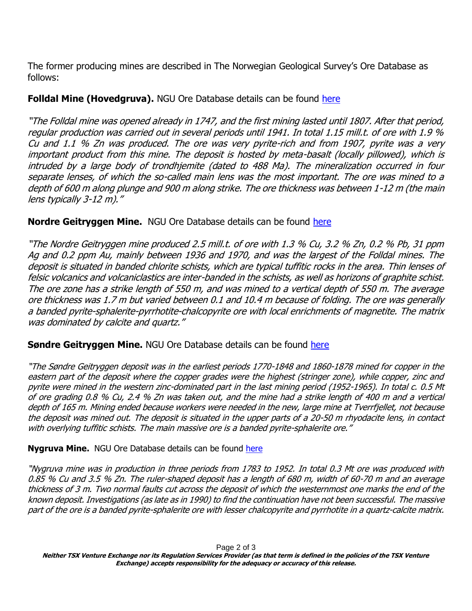The former producing mines are described in The Norwegian Geological Survey's Ore Database as follows:

### **Folldal Mine (Hovedgruva).** NGU Ore Database details can be found [here](https://geo.ngu.no/api/faktaark/mineralressurser/visImiNasOreOmr.php?objid=6375&p_spraak=E)

"The Folldal mine was opened already in 1747, and the first mining lasted until 1807. After that period, regular production was carried out in several periods until 1941. In total 1.15 mill.t. of ore with 1.9 % Cu and 1.1 % Zn was produced. The ore was very pyrite-rich and from 1907, pyrite was a very important product from this mine. The deposit is hosted by meta-basalt (locally pillowed), which is intruded by a large body of trondhjemite (dated to 488 Ma). The mineralization occurred in four separate lenses, of which the so-called main lens was the most important. The ore was mined to a depth of 600 m along plunge and 900 m along strike. The ore thickness was between 1-12 m (the main lens typically 3-12 m)."

#### **Nordre Geitryggen Mine.** NGU Ore Database details can be found [here](https://geo.ngu.no/api/faktaark/mineralressurser/visImiNasOreOmr.php?objid=6378&p_spraak=E)

"The Nordre Geitryggen mine produced 2.5 mill.t. of ore with 1.3 % Cu, 3.2 % Zn, 0.2 % Pb, 31 ppm Ag and 0.2 ppm Au, mainly between 1936 and 1970, and was the largest of the Folldal mines. The deposit is situated in banded chlorite schists, which are typical tuffitic rocks in the area. Thin lenses of felsic volcanics and volcaniclastics are inter-banded in the schists, as well as horizons of graphite schist. The ore zone has a strike length of 550 m, and was mined to a vertical depth of 550 m. The average ore thickness was 1.7 m but varied between 0.1 and 10.4 m because of folding. The ore was generally a banded pyrite-sphalerite-pyrrhotite-chalcopyrite ore with local enrichments of magnetite. The matrix was dominated by calcite and quartz."

#### **Søndre Geitryggen Mine.** NGU Ore Database details can be found [here](https://geo.ngu.no/api/faktaark/mineralressurser/visImiNasOreOmr.php?objid=6379&p_spraak=E)

"The Søndre Geitryggen deposit was in the earliest periods 1770-1848 and 1860-1878 mined for copper in the eastern part of the deposit where the copper grades were the highest (stringer zone), while copper, zinc and pyrite were mined in the western zinc-dominated part in the last mining period (1952-1965). In total c. 0.5 Mt of ore grading 0.8 % Cu, 2.4 % Zn was taken out, and the mine had a strike length of 400 m and a vertical depth of 165 m. Mining ended because workers were needed in the new, large mine at Tverrfjellet, not because the deposit was mined out. The deposit is situated in the upper parts of a 20-50 m rhyodacite lens, in contact with overlying tuffitic schists. The main massive ore is a banded pyrite-sphalerite ore."

**Nygruva Mine.** NGU Ore Database details can be found [here](https://geo.ngu.no/api/faktaark/mineralressurser/visImiNasOreOmr.php?objid=6372&p_spraak=E)

"Nygruva mine was in production in three periods from 1783 to 1952. In total 0.3 Mt ore was produced with 0.85 % Cu and 3.5 % Zn. The ruler-shaped deposit has a length of 680 m, width of 60-70 m and an average thickness of 3 m. Two normal faults cut across the deposit of which the westernmost one marks the end of the known deposit. Investigations (as late as in 1990) to find the continuation have not been successful. The massive part of the ore is a banded pyrite-sphalerite ore with lesser chalcopyrite and pyrrhotite in a quartz-calcite matrix.